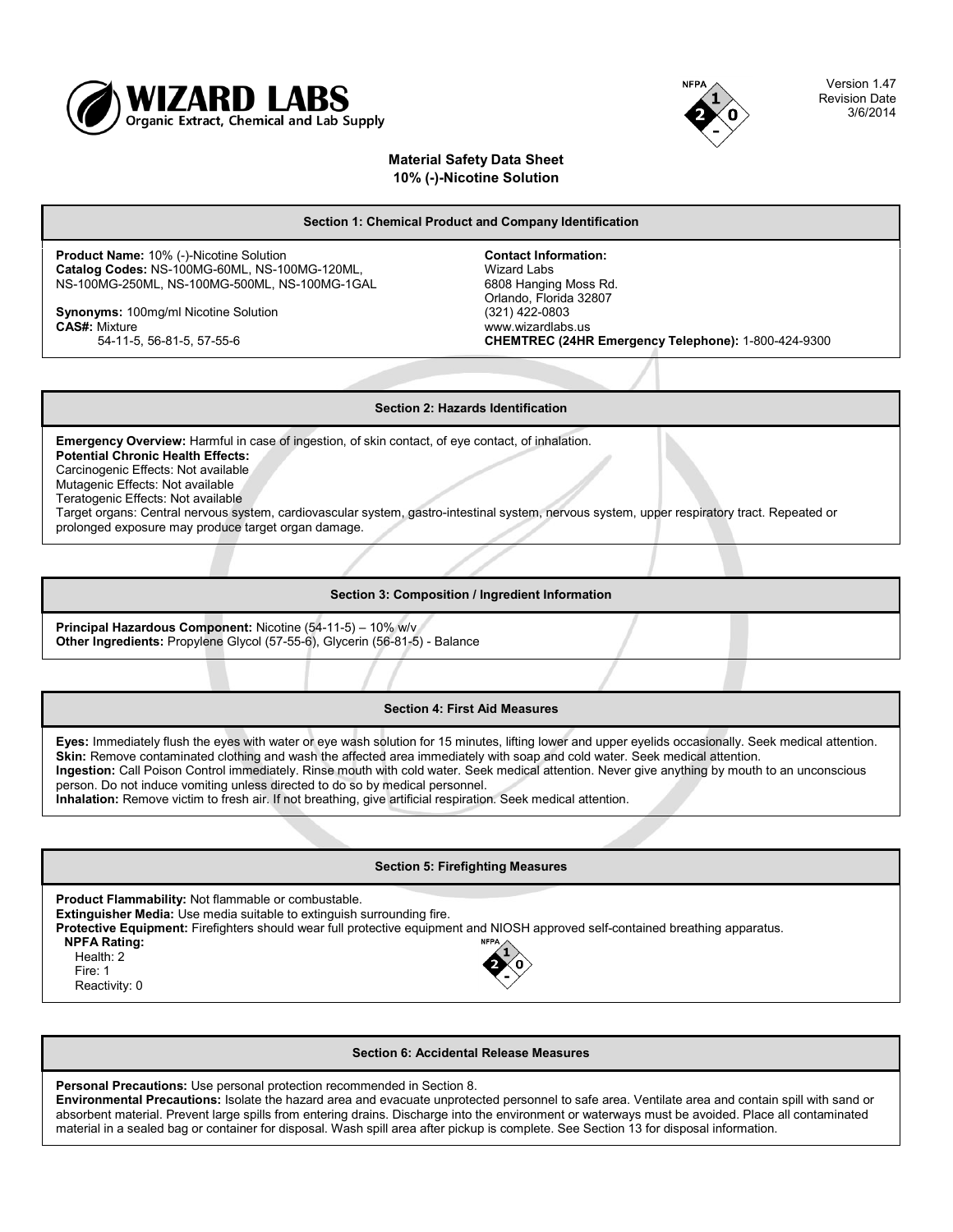



Version 1.47 Revision Date 3/6/2014

# **Material Safety Data Sheet 10% (-)-Nicotine Solution**

**Section 1: Chemical Product and Company Identification**

**Product Name:** 10% (-)-Nicotine Solution **Catalog Codes:** NS-100MG-60ML, NS-100MG-120ML, NS-100MG-250ML, NS-100MG-500ML, NS-100MG-1GAL

**Synonyms:** 100mg/ml Nicotine Solution **CAS#:** Mixture 54-11-5, 56-81-5, 57-55-6

**Contact Information:** Wizard Labs 6808 Hanging Moss Rd. Orlando, Florida 32807 (321) 422-0803 www.wizardlabs.us **CHEMTREC (24HR Emergency Telephone):** 1-800-424-9300

**Section 2: Hazards Identification**

**Emergency Overview:** Harmful in case of ingestion, of skin contact, of eye contact, of inhalation.

**Potential Chronic Health Effects:**

Carcinogenic Effects: Not available

Mutagenic Effects: Not available

Teratogenic Effects: Not available Target organs: Central nervous system, cardiovascular system, gastro-intestinal system, nervous system, upper respiratory tract. Repeated or

prolonged exposure may produce target organ damage.

## **Section 3: Composition / Ingredient Information**

**Principal Hazardous Component:** Nicotine (54-11-5) – 10% w/v **Other Ingredients:** Propylene Glycol (57-55-6), Glycerin (56-81-5) - Balance

## **Section 4: First Aid Measures**

**Eyes:** Immediately flush the eyes with water or eye wash solution for 15 minutes, lifting lower and upper eyelids occasionally. Seek medical attention. **Skin:** Remove contaminated clothing and wash the affected area immediately with soap and cold water. Seek medical attention. **Ingestion:** Call Poison Control immediately. Rinse mouth with cold water. Seek medical attention. Never give anything by mouth to an unconscious person. Do not induce vomiting unless directed to do so by medical personnel.

**Inhalation:** Remove victim to fresh air. If not breathing, give artificial respiration. Seek medical attention.

### **Section 5: Firefighting Measures**

**Product Flammability:** Not flammable or combustable.

**Extinguisher Media:** Use media suitable to extinguish surrounding fire.

**Protective Equipment:** Firefighters should wear full protective equipment and NIOSH approved self-contained breathing apparatus.

**NPFA Rating:** Health: 2 Fire: 1

Reactivity: 0

## **Section 6: Accidental Release Measures**

**Personal Precautions:** Use personal protection recommended in Section 8.

**Environmental Precautions:** Isolate the hazard area and evacuate unprotected personnel to safe area. Ventilate area and contain spill with sand or absorbent material. Prevent large spills from entering drains. Discharge into the environment or waterways must be avoided. Place all contaminated material in a sealed bag or container for disposal. Wash spill area after pickup is complete. See Section 13 for disposal information.

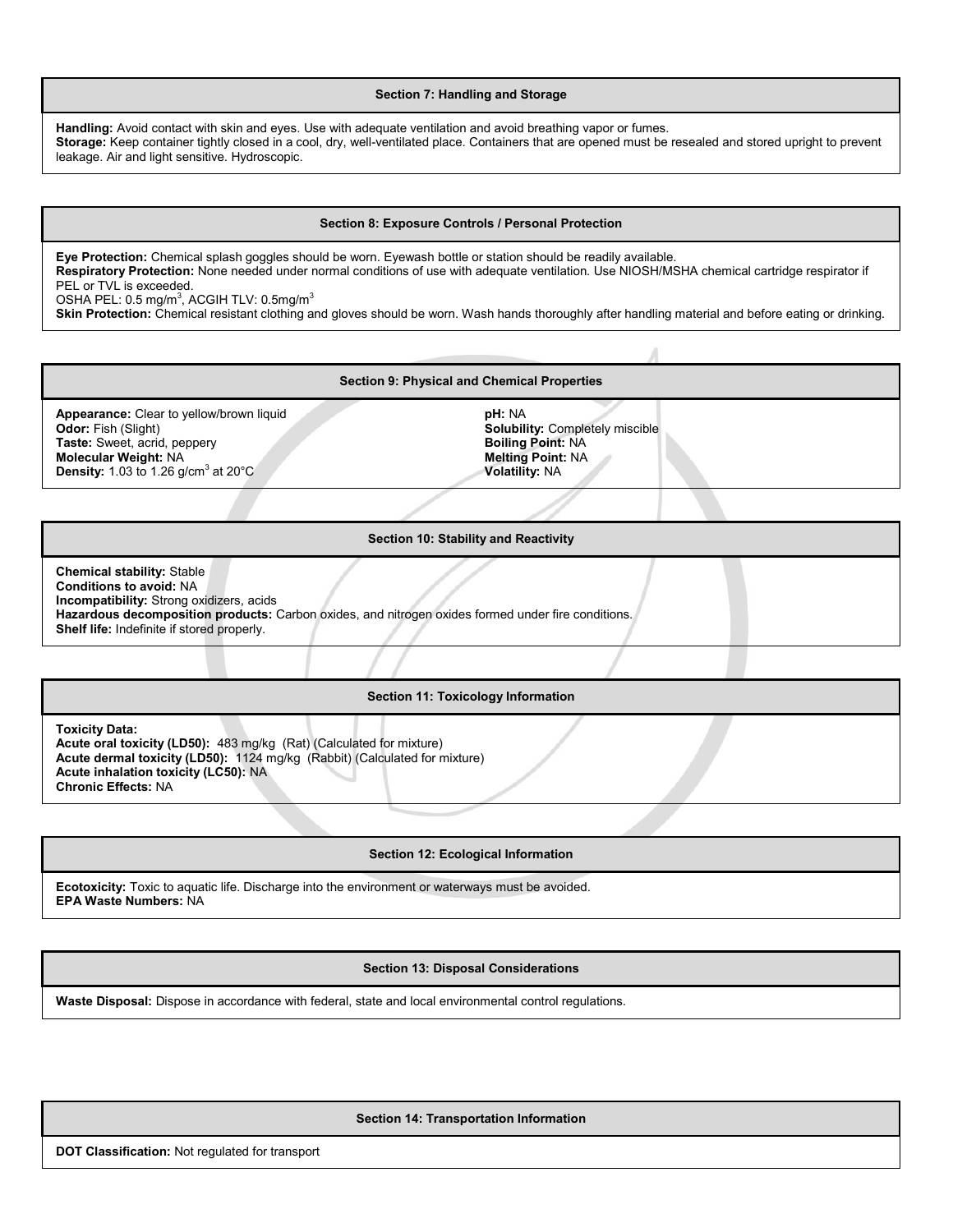### **Section 7: Handling and Storage**

**Handling:** Avoid contact with skin and eyes. Use with adequate ventilation and avoid breathing vapor or fumes. **Storage:** Keep container tightly closed in a cool, dry, well-ventilated place. Containers that are opened must be resealed and stored upright to prevent leakage. Air and light sensitive. Hydroscopic.

#### **Section 8: Exposure Controls / Personal Protection**

**Eye Protection:** Chemical splash goggles should be worn. Eyewash bottle or station should be readily available. **Respiratory Protection:** None needed under normal conditions of use with adequate ventilation. Use NIOSH/MSHA chemical cartridge respirator if PEL or TVL is exceeded. OSHA PEL: 0.5 mg/m $^3$ , ACGIH TLV: 0.5mg/m $^3$ 

**Skin Protection:** Chemical resistant clothing and gloves should be worn. Wash hands thoroughly after handling material and before eating or drinking.

| <b>Section 9: Physical and Chemical Properties</b>                                                                                                                                                  |                                                                                                                                          |
|-----------------------------------------------------------------------------------------------------------------------------------------------------------------------------------------------------|------------------------------------------------------------------------------------------------------------------------------------------|
| Appearance: Clear to yellow/brown liquid<br><b>Odor: Fish (Slight)</b><br>Taste: Sweet, acrid, peppery<br><b>Molecular Weight: NA</b><br>Density: 1.03 to 1.26 g/cm <sup>3</sup> at 20 $^{\circ}$ C | <b>pH: NA</b><br><b>Solubility: Completely miscible</b><br><b>Boiling Point: NA</b><br><b>Melting Point: NA</b><br><b>Volatility: NA</b> |
|                                                                                                                                                                                                     |                                                                                                                                          |

**Section 10: Stability and Reactivity**

### **Chemical stability:** Stable **Conditions to avoid:** NA **Incompatibility:** Strong oxidizers, acids **Hazardous decomposition products:** Carbon oxides, and nitrogen oxides formed under fire conditions. **Shelf life:** Indefinite if stored properly.

### **Section 11: Toxicology Information**

**Toxicity Data: Acute oral toxicity (LD50):** 483 mg/kg (Rat) (Calculated for mixture) **Acute dermal toxicity (LD50):** 1124 mg/kg (Rabbit) (Calculated for mixture) **Acute inhalation toxicity (LC50):** NA **Chronic Effects:** NA

#### **Section 12: Ecological Information**

**Ecotoxicity:** Toxic to aquatic life. Discharge into the environment or waterways must be avoided. **EPA Waste Numbers:** NA

#### **Section 13: Disposal Considerations**

**Waste Disposal:** Dispose in accordance with federal, state and local environmental control regulations.

### **Section 14: Transportation Information**

**DOT Classification:** Not regulated for transport